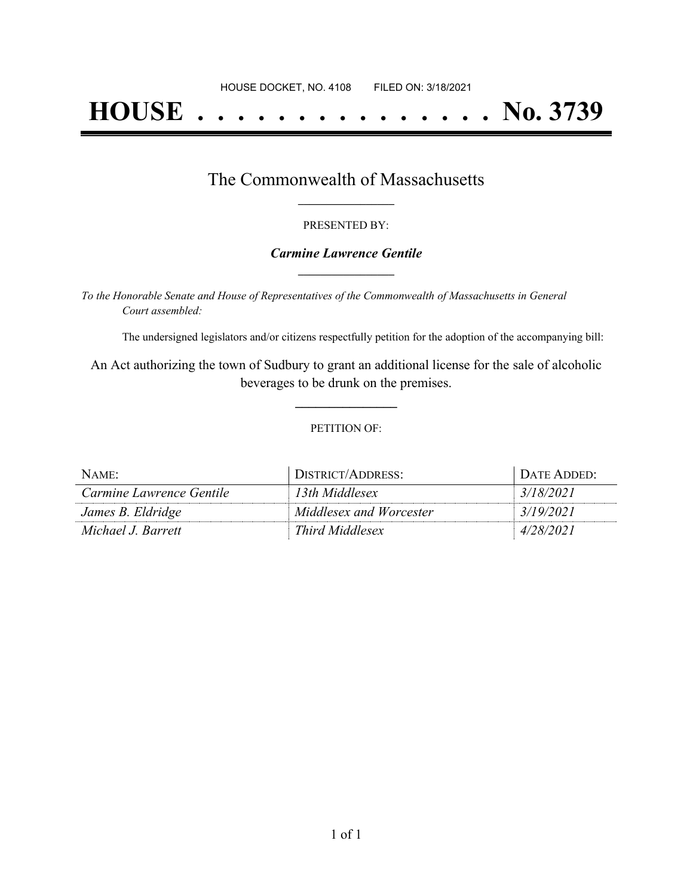# **HOUSE . . . . . . . . . . . . . . . No. 3739**

### The Commonwealth of Massachusetts **\_\_\_\_\_\_\_\_\_\_\_\_\_\_\_\_\_**

#### PRESENTED BY:

#### *Carmine Lawrence Gentile* **\_\_\_\_\_\_\_\_\_\_\_\_\_\_\_\_\_**

*To the Honorable Senate and House of Representatives of the Commonwealth of Massachusetts in General Court assembled:*

The undersigned legislators and/or citizens respectfully petition for the adoption of the accompanying bill:

An Act authorizing the town of Sudbury to grant an additional license for the sale of alcoholic beverages to be drunk on the premises.

**\_\_\_\_\_\_\_\_\_\_\_\_\_\_\_**

#### PETITION OF:

| NAME:                    | DISTRICT/ADDRESS:       | DATE ADDED: |
|--------------------------|-------------------------|-------------|
| Carmine Lawrence Gentile | 13th Middlesex          | 3/18/2021   |
| James B. Eldridge        | Middlesex and Worcester | 3/19/2021   |
| Michael J. Barrett       | Third Middlesex         | 4/28/2021   |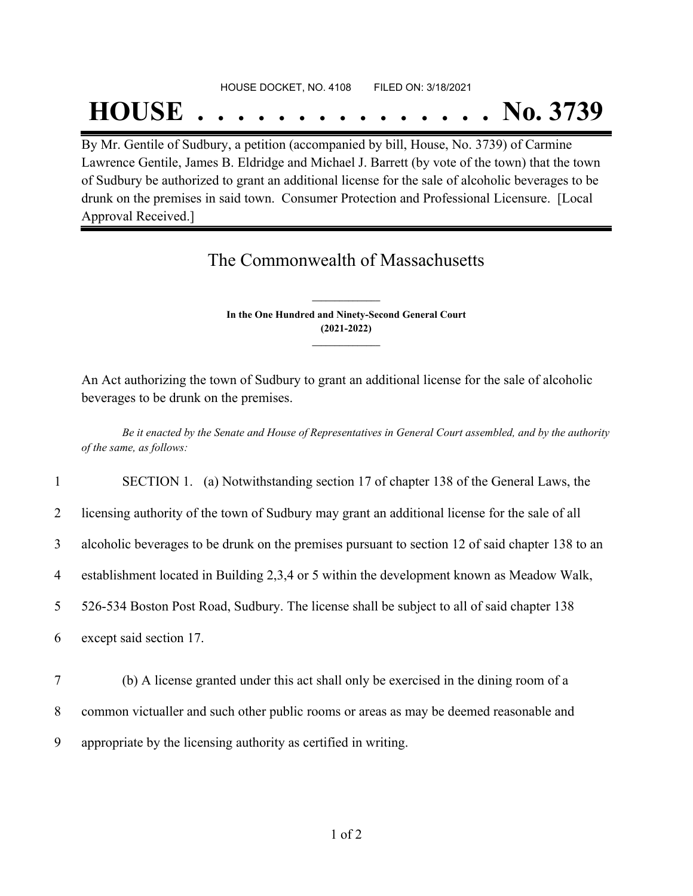## HOUSE DOCKET, NO. 4108 FILED ON: 3/18/2021

## **HOUSE . . . . . . . . . . . . . . . No. 3739**

By Mr. Gentile of Sudbury, a petition (accompanied by bill, House, No. 3739) of Carmine Lawrence Gentile, James B. Eldridge and Michael J. Barrett (by vote of the town) that the town of Sudbury be authorized to grant an additional license for the sale of alcoholic beverages to be drunk on the premises in said town. Consumer Protection and Professional Licensure. [Local Approval Received.]

### The Commonwealth of Massachusetts

**In the One Hundred and Ninety-Second General Court (2021-2022) \_\_\_\_\_\_\_\_\_\_\_\_\_\_\_**

**\_\_\_\_\_\_\_\_\_\_\_\_\_\_\_**

An Act authorizing the town of Sudbury to grant an additional license for the sale of alcoholic beverages to be drunk on the premises.

Be it enacted by the Senate and House of Representatives in General Court assembled, and by the authority *of the same, as follows:*

1 SECTION 1. (a) Notwithstanding section 17 of chapter 138 of the General Laws, the

2 licensing authority of the town of Sudbury may grant an additional license for the sale of all

3 alcoholic beverages to be drunk on the premises pursuant to section 12 of said chapter 138 to an

4 establishment located in Building 2,3,4 or 5 within the development known as Meadow Walk,

5 526-534 Boston Post Road, Sudbury. The license shall be subject to all of said chapter 138

6 except said section 17.

7 (b) A license granted under this act shall only be exercised in the dining room of a 8 common victualler and such other public rooms or areas as may be deemed reasonable and 9 appropriate by the licensing authority as certified in writing.